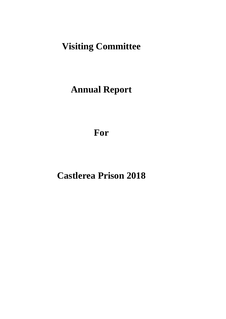# **Visiting Committee**

# **Annual Report**

**For**

# **Castlerea Prison 2018**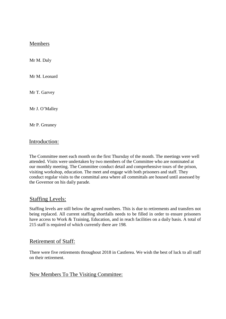# Members

Mr M. Daly

Mr M. Leonard

Mr T. Garvey

Mr J. O'Malley

Mr P. Greaney

## Introduction:

The Committee meet each month on the first Thursday of the month. The meetings were well attended. Visits were undertaken by two members of the Committee who are nominated at our monthly meeting. The Committee conduct detail and comprehensive tours of the prison, visiting workshop, education. The meet and engage with both prisoners and staff. They conduct regular visits to the committal area where all committals are housed until assessed by the Governor on his daily parade.

# Staffing Levels:

Staffing levels are still below the agreed numbers. This is due to retirements and transfers not being replaced. All current staffing shortfalls needs to be filled in order to ensure prisoners have access to Work & Training, Education, and in reach facilities on a daily basis. A total of 215 staff is required of which currently there are 198

## Retirement of Staff:

There were five retirements throughout 2018 in Castlerea. We wish the best of luck to all staff on their retirement.

## New Members To The Visiting Committee: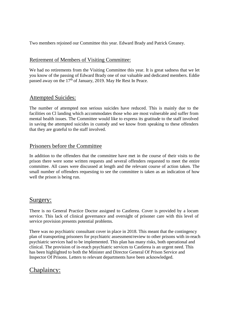Two members rejoined our Committee this year. Edward Brady and Patrick Greaney.

## Retirement of Members of Visiting Committee:

We had no retirements from the Visiting Committee this year. It is great sadness that we let you know of the passing of Edward Brady one of our valuable and dedicated members. Eddie passed away on the  $17<sup>th</sup>$  of January, 2019. May He Rest In Peace.

# Attempted Suicides:

The number of attempted non serious suicides have reduced. This is mainly due to the facilities on Cl landing which accommodates those who are most vulnerable and suffer from mental health issues. The Committee would like to express its gratitude to the staff involved in saving the attempted suicides in custody and we know from speaking to these offenders that they are grateful to the staff involved.

# Prisoners before the Committee

In addition to the offenders that the committee have met in the course of their visits to the prison there were some written requests and several offenders requested to meet the entire committee. All cases were discussed at length and the relevant course of action taken. The small number of offenders requesting to see the committee is taken as an indication of how well the prison is being run.

# Surgery:

There is no General Practice Doctor assigned to Castlerea. Cover is provided by a locum service. This lack of clinical governance and oversight of prisoner care with this level of service provision presents potential problems.

There was no psychiatric consultant cover in place in 2018. This meant that the contingency plan of transporting prisoners for psychiatric assessment/review to other prisons with in-reach psychiatric services had to be implemented. This plan has many risks, both operational and clinical. The provision of in-reach psychiatric services to Castlerea is an urgent need. This has been highlighted to both the Minister and Director General Of Prison Service and Inspector Of Prisons. Letters to relevant departments have been acknowledged.

# Chaplaincy: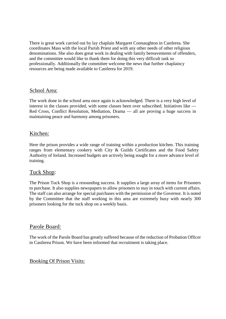There is great work carried out by lay chaplain Margaret Connaughton in Castlerea. She coordinates Mass with the local Parish Priest and with any other needs of other religious denominations. She also does great work in dealing with family bereavements of offenders, and the committee would like to thank them for doing this very difficult task so professionally. Additionally the committee welcome the news that further chaplaincy resources are being made available to Castlerea for 2019.

### School Area:

The work done in the school area once again is acknowledged. There is a very high level of interest in the classes provided, with some classes been over subscribed. Initiatives like — Red Cross, Conflict Resolution, Mediation, Drama — all are proving a huge success in maintaining peace and harmony among prisoners.

## Kitchen:

Here the prison provides a wide range of training within a production kitchen. This training ranges from elementary cookery with City & Guilds Certificates and the Food Safety Authority of Ireland. Increased budgets are actively being sought for a more advance level of training.

## Tuck Shop:

The Prison Tuck Shop is a resounding success. It supplies a large array of items for Prisoners to purchase. It also supplies newspapers to allow prisoners to stay in touch with current affairs. The staff can also arrange for special purchases with the permission of the Governor. It is noted by the Committee that the staff working in this area are extremely busy with nearly 300 prisoners looking for the tuck shop on a weekly basis.

### Parole Board:

The work of the Parole Board has greatly suffered because of the reduction of Probation Officer in Castlerea Prison. We have been informed that recruitment is taking place.

### Booking Of Prison Visits: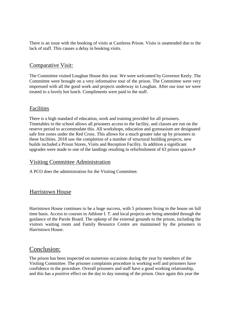There is an issue with the booking of visits at Castlerea Prison. Visits is unattended due to the lack of staff. This causes a delay in booking visits.

# Comparative Visit:

The Committee visited Loughan House this year. We were welcomed by Governor Keely. The Committee were brought on a very informative tour of the prison. The Committee were very impressed with all the good work and projects underway in Loughan. After our tour we were treated to a lovely hot lunch. Compliments were paid to the staff.

## Facilities

There is a high standard of education, work and training provided for all prisoners. Timetables in the school allows all prisoners access to the facility, and classes are run on the reserve period to accommodate this. All workshops, education and gymnasium are designated safe free zones under the Red Cross. This allows for a much greater take up by prisoners in these facilities. 2018 saw the completion of a number of structural building projects, new builds included a Prison Stores, Visits and Reception Facility. In addition a significant upgrades were made to one of the landings resulting in refurbishment of 63 prison spaces.#

# Visiting Committee Administration

A PCO does the administration for the Visiting Committee.

# Harristown House

Harristown House continues to be a huge success, with 5 prisoners living in the house on full time basis. Access to courses in Athlone I. T. and local projects are being attended through the guidance of the Parole Board. The upkeep of the external grounds to the prison, including the visitors waiting room and Family Resource Centre are maintained by the prisoners in Harristown House.

# Conclusion:

The prison has been inspected on numerous occasions during the year by members of the Visiting Committee. The prisoner complaints procedure is working well and prisoners have confidence in the procedure. Overall prisoners and staff have a good working relationship, and this has a positive effect on the day to day running of the prison. Once again this year the